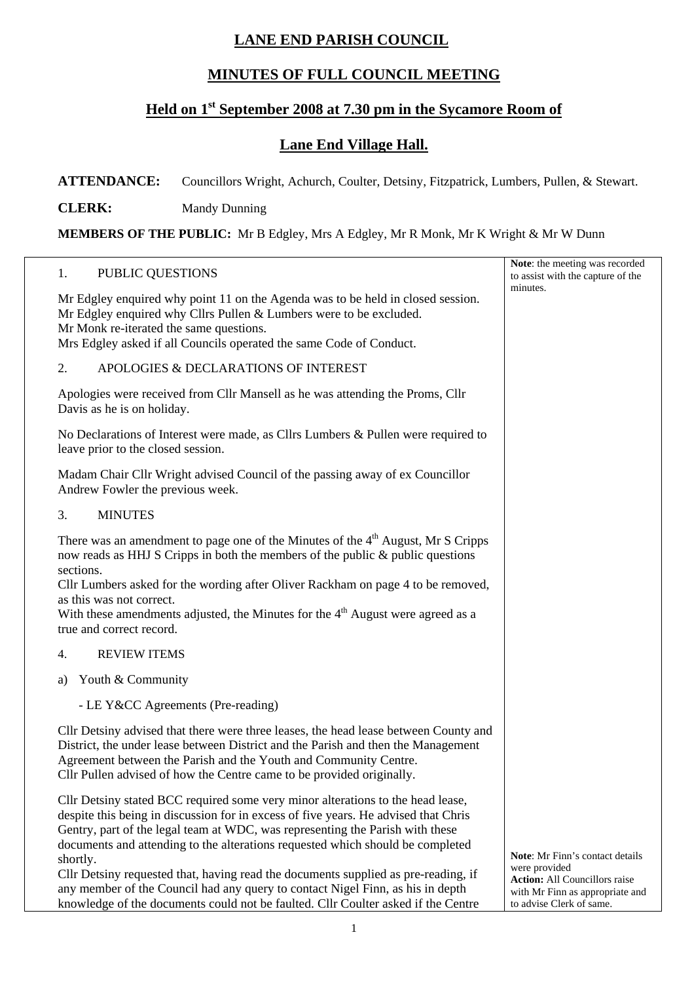## **LANE END PARISH COUNCIL**

## **MINUTES OF FULL COUNCIL MEETING**

## **Held on 1st September 2008 at 7.30 pm in the Sycamore Room of**

## **Lane End Village Hall.**

**ATTENDANCE:** Councillors Wright, Achurch, Coulter, Detsiny, Fitzpatrick, Lumbers, Pullen, & Stewart.

**CLERK:** Mandy Dunning

**MEMBERS OF THE PUBLIC:** Mr B Edgley, Mrs A Edgley, Mr R Monk, Mr K Wright & Mr W Dunn

| PUBLIC QUESTIONS<br>1.                                                                                                                                                                                                                                                                                                                                                                                                                                                                                                        | Note: the meeting was recorded<br>to assist with the capture of the                                                         |
|-------------------------------------------------------------------------------------------------------------------------------------------------------------------------------------------------------------------------------------------------------------------------------------------------------------------------------------------------------------------------------------------------------------------------------------------------------------------------------------------------------------------------------|-----------------------------------------------------------------------------------------------------------------------------|
| Mr Edgley enquired why point 11 on the Agenda was to be held in closed session.<br>Mr Edgley enquired why Cllrs Pullen & Lumbers were to be excluded.<br>Mr Monk re-iterated the same questions.<br>Mrs Edgley asked if all Councils operated the same Code of Conduct.                                                                                                                                                                                                                                                       | minutes.                                                                                                                    |
| APOLOGIES & DECLARATIONS OF INTEREST<br>2.                                                                                                                                                                                                                                                                                                                                                                                                                                                                                    |                                                                                                                             |
| Apologies were received from Cllr Mansell as he was attending the Proms, Cllr<br>Davis as he is on holiday.                                                                                                                                                                                                                                                                                                                                                                                                                   |                                                                                                                             |
| No Declarations of Interest were made, as Cllrs Lumbers & Pullen were required to<br>leave prior to the closed session.                                                                                                                                                                                                                                                                                                                                                                                                       |                                                                                                                             |
| Madam Chair Cllr Wright advised Council of the passing away of ex Councillor<br>Andrew Fowler the previous week.                                                                                                                                                                                                                                                                                                                                                                                                              |                                                                                                                             |
| <b>MINUTES</b><br>3.                                                                                                                                                                                                                                                                                                                                                                                                                                                                                                          |                                                                                                                             |
| There was an amendment to page one of the Minutes of the 4 <sup>th</sup> August, Mr S Cripps<br>now reads as HHJ S Cripps in both the members of the public & public questions<br>sections.<br>Cllr Lumbers asked for the wording after Oliver Rackham on page 4 to be removed,<br>as this was not correct.<br>With these amendments adjusted, the Minutes for the $4th$ August were agreed as a<br>true and correct record.                                                                                                  |                                                                                                                             |
| <b>REVIEW ITEMS</b><br>4.                                                                                                                                                                                                                                                                                                                                                                                                                                                                                                     |                                                                                                                             |
| Youth & Community<br>a)                                                                                                                                                                                                                                                                                                                                                                                                                                                                                                       |                                                                                                                             |
| - LE Y&CC Agreements (Pre-reading)                                                                                                                                                                                                                                                                                                                                                                                                                                                                                            |                                                                                                                             |
| Cllr Detsiny advised that there were three leases, the head lease between County and<br>District, the under lease between District and the Parish and then the Management<br>Agreement between the Parish and the Youth and Community Centre.<br>Cllr Pullen advised of how the Centre came to be provided originally.                                                                                                                                                                                                        |                                                                                                                             |
| Cllr Detsiny stated BCC required some very minor alterations to the head lease,<br>despite this being in discussion for in excess of five years. He advised that Chris<br>Gentry, part of the legal team at WDC, was representing the Parish with these<br>documents and attending to the alterations requested which should be completed<br>shortly.<br>Cllr Detsiny requested that, having read the documents supplied as pre-reading, if<br>any member of the Council had any query to contact Nigel Finn, as his in depth | Note: Mr Finn's contact details<br>were provided<br><b>Action:</b> All Councillors raise<br>with Mr Finn as appropriate and |

to advise Clerk of same.

knowledge of the documents could not be faulted. Cllr Coulter asked if the Centre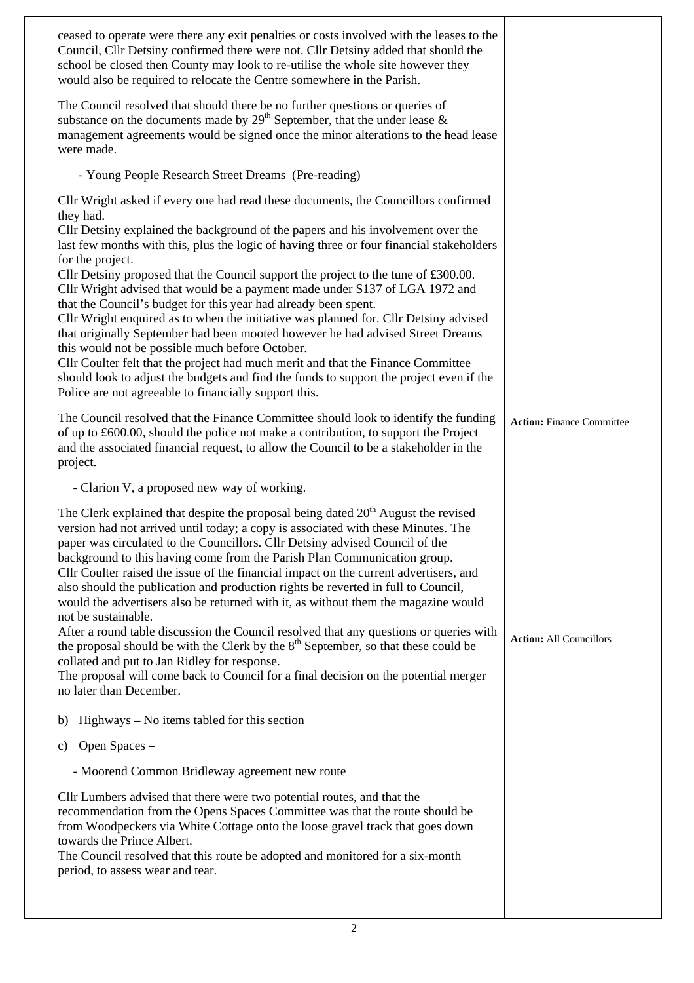| ceased to operate were there any exit penalties or costs involved with the leases to the<br>Council, Cllr Detsiny confirmed there were not. Cllr Detsiny added that should the<br>school be closed then County may look to re-utilise the whole site however they<br>would also be required to relocate the Centre somewhere in the Parish.                                                                                                                                                                                                                                                                                                                                                                                                                                                                                                                                                                                                                                         |                                  |
|-------------------------------------------------------------------------------------------------------------------------------------------------------------------------------------------------------------------------------------------------------------------------------------------------------------------------------------------------------------------------------------------------------------------------------------------------------------------------------------------------------------------------------------------------------------------------------------------------------------------------------------------------------------------------------------------------------------------------------------------------------------------------------------------------------------------------------------------------------------------------------------------------------------------------------------------------------------------------------------|----------------------------------|
| The Council resolved that should there be no further questions or queries of<br>substance on the documents made by $29th$ September, that the under lease &<br>management agreements would be signed once the minor alterations to the head lease<br>were made.                                                                                                                                                                                                                                                                                                                                                                                                                                                                                                                                                                                                                                                                                                                     |                                  |
| - Young People Research Street Dreams (Pre-reading)                                                                                                                                                                                                                                                                                                                                                                                                                                                                                                                                                                                                                                                                                                                                                                                                                                                                                                                                 |                                  |
| Cllr Wright asked if every one had read these documents, the Councillors confirmed<br>they had.<br>Cllr Detsiny explained the background of the papers and his involvement over the                                                                                                                                                                                                                                                                                                                                                                                                                                                                                                                                                                                                                                                                                                                                                                                                 |                                  |
| last few months with this, plus the logic of having three or four financial stakeholders<br>for the project.<br>Cllr Detsiny proposed that the Council support the project to the tune of £300.00.<br>Cllr Wright advised that would be a payment made under S137 of LGA 1972 and<br>that the Council's budget for this year had already been spent.<br>Cllr Wright enquired as to when the initiative was planned for. Cllr Detsiny advised<br>that originally September had been mooted however he had advised Street Dreams<br>this would not be possible much before October.<br>Cllr Coulter felt that the project had much merit and that the Finance Committee<br>should look to adjust the budgets and find the funds to support the project even if the<br>Police are not agreeable to financially support this.                                                                                                                                                           |                                  |
| The Council resolved that the Finance Committee should look to identify the funding<br>of up to £600.00, should the police not make a contribution, to support the Project<br>and the associated financial request, to allow the Council to be a stakeholder in the<br>project.                                                                                                                                                                                                                                                                                                                                                                                                                                                                                                                                                                                                                                                                                                     | <b>Action: Finance Committee</b> |
| - Clarion V, a proposed new way of working.                                                                                                                                                                                                                                                                                                                                                                                                                                                                                                                                                                                                                                                                                                                                                                                                                                                                                                                                         |                                  |
|                                                                                                                                                                                                                                                                                                                                                                                                                                                                                                                                                                                                                                                                                                                                                                                                                                                                                                                                                                                     |                                  |
| The Clerk explained that despite the proposal being dated $20th$ August the revised<br>version had not arrived until today; a copy is associated with these Minutes. The<br>paper was circulated to the Councillors. Cllr Detsiny advised Council of the<br>background to this having come from the Parish Plan Communication group.<br>Cllr Coulter raised the issue of the financial impact on the current advertisers, and<br>also should the publication and production rights be reverted in full to Council,<br>would the advertisers also be returned with it, as without them the magazine would<br>not be sustainable.<br>After a round table discussion the Council resolved that any questions or queries with<br>the proposal should be with the Clerk by the $8th$ September, so that these could be<br>collated and put to Jan Ridley for response.<br>The proposal will come back to Council for a final decision on the potential merger<br>no later than December. | <b>Action: All Councillors</b>   |
| Highways – No items tabled for this section<br>b)                                                                                                                                                                                                                                                                                                                                                                                                                                                                                                                                                                                                                                                                                                                                                                                                                                                                                                                                   |                                  |
| Open Spaces -<br>C)                                                                                                                                                                                                                                                                                                                                                                                                                                                                                                                                                                                                                                                                                                                                                                                                                                                                                                                                                                 |                                  |
| - Moorend Common Bridleway agreement new route                                                                                                                                                                                                                                                                                                                                                                                                                                                                                                                                                                                                                                                                                                                                                                                                                                                                                                                                      |                                  |
| Cllr Lumbers advised that there were two potential routes, and that the<br>recommendation from the Opens Spaces Committee was that the route should be<br>from Woodpeckers via White Cottage onto the loose gravel track that goes down<br>towards the Prince Albert.<br>The Council resolved that this route be adopted and monitored for a six-month<br>period, to assess wear and tear.                                                                                                                                                                                                                                                                                                                                                                                                                                                                                                                                                                                          |                                  |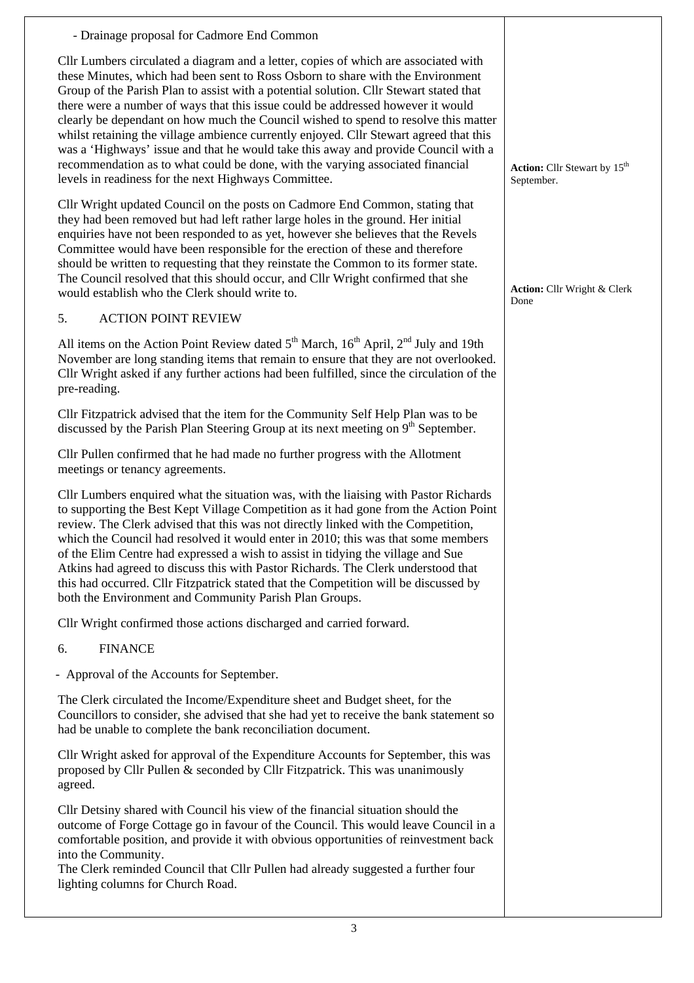- Drainage proposal for Cadmore End Common Cllr Lumbers circulated a diagram and a letter, copies of which are associated with these Minutes, which had been sent to Ross Osborn to share with the Environment Group of the Parish Plan to assist with a potential solution. Cllr Stewart stated that there were a number of ways that this issue could be addressed however it would clearly be dependant on how much the Council wished to spend to resolve this matter whilst retaining the village ambience currently enjoyed. Cllr Stewart agreed that this was a 'Highways' issue and that he would take this away and provide Council with a recommendation as to what could be done, with the varying associated financial levels in readiness for the next Highways Committee.

Cllr Wright updated Council on the posts on Cadmore End Common, stating that they had been removed but had left rather large holes in the ground. Her initial enquiries have not been responded to as yet, however she believes that the Revels Committee would have been responsible for the erection of these and therefore should be written to requesting that they reinstate the Common to its former state. The Council resolved that this should occur, and Cllr Wright confirmed that she would establish who the Clerk should write to.

5. ACTION POINT REVIEW

All items on the Action Point Review dated  $5<sup>th</sup>$  March,  $16<sup>th</sup>$  April,  $2<sup>nd</sup>$  July and 19th November are long standing items that remain to ensure that they are not overlooked. Cllr Wright asked if any further actions had been fulfilled, since the circulation of the pre-reading.

Cllr Fitzpatrick advised that the item for the Community Self Help Plan was to be discussed by the Parish Plan Steering Group at its next meeting on  $9<sup>th</sup>$  September.

Cllr Pullen confirmed that he had made no further progress with the Allotment meetings or tenancy agreements.

Cllr Lumbers enquired what the situation was, with the liaising with Pastor Richards to supporting the Best Kept Village Competition as it had gone from the Action Point review. The Clerk advised that this was not directly linked with the Competition, which the Council had resolved it would enter in 2010; this was that some members of the Elim Centre had expressed a wish to assist in tidying the village and Sue Atkins had agreed to discuss this with Pastor Richards. The Clerk understood that this had occurred. Cllr Fitzpatrick stated that the Competition will be discussed by both the Environment and Community Parish Plan Groups.

Cllr Wright confirmed those actions discharged and carried forward.

6. FINANCE

- Approval of the Accounts for September.

The Clerk circulated the Income/Expenditure sheet and Budget sheet, for the Councillors to consider, she advised that she had yet to receive the bank statement so had be unable to complete the bank reconciliation document.

Cllr Wright asked for approval of the Expenditure Accounts for September, this was proposed by Cllr Pullen & seconded by Cllr Fitzpatrick. This was unanimously agreed.

Cllr Detsiny shared with Council his view of the financial situation should the outcome of Forge Cottage go in favour of the Council. This would leave Council in a comfortable position, and provide it with obvious opportunities of reinvestment back into the Community.

The Clerk reminded Council that Cllr Pullen had already suggested a further four lighting columns for Church Road.

**Action:** Cllr Stewart by 15<sup>th</sup> September.

**Action:** Cllr Wright & Clerk Done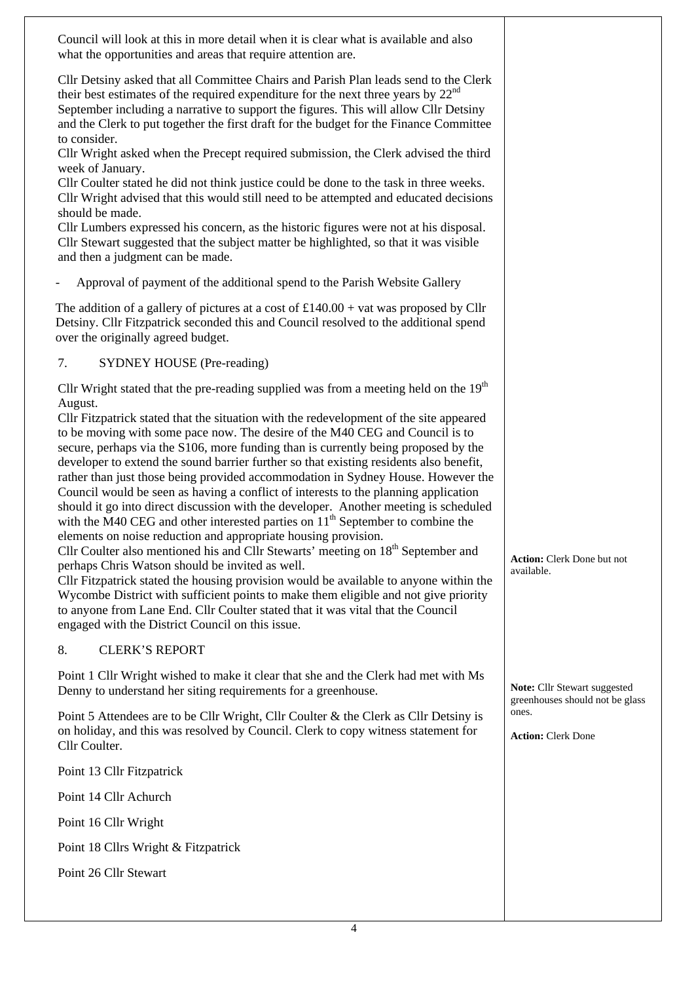| Council will look at this in more detail when it is clear what is available and also<br>what the opportunities and areas that require attention are.                                                                                                                                                                                                                                                                                                                                                                                                                                                                                                                                                                                                                                                                                                                                                                                                                                                                                                                                                                                                                                                                                                       |                                                                 |
|------------------------------------------------------------------------------------------------------------------------------------------------------------------------------------------------------------------------------------------------------------------------------------------------------------------------------------------------------------------------------------------------------------------------------------------------------------------------------------------------------------------------------------------------------------------------------------------------------------------------------------------------------------------------------------------------------------------------------------------------------------------------------------------------------------------------------------------------------------------------------------------------------------------------------------------------------------------------------------------------------------------------------------------------------------------------------------------------------------------------------------------------------------------------------------------------------------------------------------------------------------|-----------------------------------------------------------------|
| Cllr Detsiny asked that all Committee Chairs and Parish Plan leads send to the Clerk<br>their best estimates of the required expenditure for the next three years by $22nd$<br>September including a narrative to support the figures. This will allow Cllr Detsiny<br>and the Clerk to put together the first draft for the budget for the Finance Committee<br>to consider.                                                                                                                                                                                                                                                                                                                                                                                                                                                                                                                                                                                                                                                                                                                                                                                                                                                                              |                                                                 |
| Cllr Wright asked when the Precept required submission, the Clerk advised the third<br>week of January.                                                                                                                                                                                                                                                                                                                                                                                                                                                                                                                                                                                                                                                                                                                                                                                                                                                                                                                                                                                                                                                                                                                                                    |                                                                 |
| Cllr Coulter stated he did not think justice could be done to the task in three weeks.<br>Cllr Wright advised that this would still need to be attempted and educated decisions                                                                                                                                                                                                                                                                                                                                                                                                                                                                                                                                                                                                                                                                                                                                                                                                                                                                                                                                                                                                                                                                            |                                                                 |
| should be made.<br>Cllr Lumbers expressed his concern, as the historic figures were not at his disposal.<br>Cllr Stewart suggested that the subject matter be highlighted, so that it was visible<br>and then a judgment can be made.                                                                                                                                                                                                                                                                                                                                                                                                                                                                                                                                                                                                                                                                                                                                                                                                                                                                                                                                                                                                                      |                                                                 |
| Approval of payment of the additional spend to the Parish Website Gallery                                                                                                                                                                                                                                                                                                                                                                                                                                                                                                                                                                                                                                                                                                                                                                                                                                                                                                                                                                                                                                                                                                                                                                                  |                                                                 |
| The addition of a gallery of pictures at a cost of $£140.00 + \text{vat}$ was proposed by Cllr<br>Detsiny. Cllr Fitzpatrick seconded this and Council resolved to the additional spend<br>over the originally agreed budget.                                                                                                                                                                                                                                                                                                                                                                                                                                                                                                                                                                                                                                                                                                                                                                                                                                                                                                                                                                                                                               |                                                                 |
| <b>SYDNEY HOUSE (Pre-reading)</b><br>7.                                                                                                                                                                                                                                                                                                                                                                                                                                                                                                                                                                                                                                                                                                                                                                                                                                                                                                                                                                                                                                                                                                                                                                                                                    |                                                                 |
| Cllr Wright stated that the pre-reading supplied was from a meeting held on the $19th$                                                                                                                                                                                                                                                                                                                                                                                                                                                                                                                                                                                                                                                                                                                                                                                                                                                                                                                                                                                                                                                                                                                                                                     |                                                                 |
| August.<br>Cllr Fitzpatrick stated that the situation with the redevelopment of the site appeared<br>to be moving with some pace now. The desire of the M40 CEG and Council is to<br>secure, perhaps via the S106, more funding than is currently being proposed by the<br>developer to extend the sound barrier further so that existing residents also benefit,<br>rather than just those being provided accommodation in Sydney House. However the<br>Council would be seen as having a conflict of interests to the planning application<br>should it go into direct discussion with the developer. Another meeting is scheduled<br>with the M40 CEG and other interested parties on $11th$ September to combine the<br>elements on noise reduction and appropriate housing provision.<br>Cllr Coulter also mentioned his and Cllr Stewarts' meeting on $18th$ September and<br>perhaps Chris Watson should be invited as well.<br>Cllr Fitzpatrick stated the housing provision would be available to anyone within the<br>Wycombe District with sufficient points to make them eligible and not give priority<br>to anyone from Lane End. Cllr Coulter stated that it was vital that the Council<br>engaged with the District Council on this issue. | <b>Action:</b> Clerk Done but not<br>available.                 |
| <b>CLERK'S REPORT</b><br>8.                                                                                                                                                                                                                                                                                                                                                                                                                                                                                                                                                                                                                                                                                                                                                                                                                                                                                                                                                                                                                                                                                                                                                                                                                                |                                                                 |
| Point 1 Cllr Wright wished to make it clear that she and the Clerk had met with Ms<br>Denny to understand her siting requirements for a greenhouse.                                                                                                                                                                                                                                                                                                                                                                                                                                                                                                                                                                                                                                                                                                                                                                                                                                                                                                                                                                                                                                                                                                        | Note: Cllr Stewart suggested<br>greenhouses should not be glass |
| Point 5 Attendees are to be Cllr Wright, Cllr Coulter & the Clerk as Cllr Detsiny is<br>on holiday, and this was resolved by Council. Clerk to copy witness statement for<br>Cllr Coulter.                                                                                                                                                                                                                                                                                                                                                                                                                                                                                                                                                                                                                                                                                                                                                                                                                                                                                                                                                                                                                                                                 | ones.<br><b>Action: Clerk Done</b>                              |
| Point 13 Cllr Fitzpatrick                                                                                                                                                                                                                                                                                                                                                                                                                                                                                                                                                                                                                                                                                                                                                                                                                                                                                                                                                                                                                                                                                                                                                                                                                                  |                                                                 |
| Point 14 Cllr Achurch                                                                                                                                                                                                                                                                                                                                                                                                                                                                                                                                                                                                                                                                                                                                                                                                                                                                                                                                                                                                                                                                                                                                                                                                                                      |                                                                 |
| Point 16 Cllr Wright                                                                                                                                                                                                                                                                                                                                                                                                                                                                                                                                                                                                                                                                                                                                                                                                                                                                                                                                                                                                                                                                                                                                                                                                                                       |                                                                 |
| Point 18 Cllrs Wright & Fitzpatrick                                                                                                                                                                                                                                                                                                                                                                                                                                                                                                                                                                                                                                                                                                                                                                                                                                                                                                                                                                                                                                                                                                                                                                                                                        |                                                                 |
| Point 26 Cllr Stewart                                                                                                                                                                                                                                                                                                                                                                                                                                                                                                                                                                                                                                                                                                                                                                                                                                                                                                                                                                                                                                                                                                                                                                                                                                      |                                                                 |
|                                                                                                                                                                                                                                                                                                                                                                                                                                                                                                                                                                                                                                                                                                                                                                                                                                                                                                                                                                                                                                                                                                                                                                                                                                                            |                                                                 |